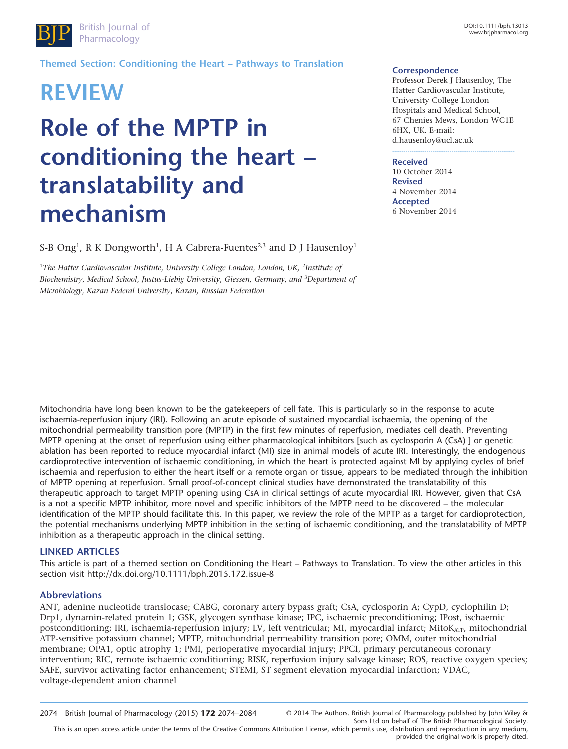

**Themed Section: Conditioning the Heart – Pathways to Translation**

# **REVIEW Role of the MPTP in conditioning the heart – translatability and mechanism**

S-B Ong<sup>1</sup>, R K Dongworth<sup>1</sup>, H A Cabrera-Fuentes<sup>2,3</sup> and D J Hausenloy<sup>1</sup>

<sup>1</sup>The Hatter Cardiovascular Institute, University College London, London, UK, <sup>2</sup>Institute of *Biochemistry*, *Medical School*, *Justus-Liebig University*, *Giessen, Germany*, *and* <sup>3</sup> *Department of Microbiology*, *Kazan Federal University*, *Kazan, Russian Federation*

#### **Correspondence**

Professor Derek J Hausenloy, The Hatter Cardiovascular Institute, University College London Hospitals and Medical School, 67 Chenies Mews, London WC1E 6HX, UK. E-mail: [d.hausenloy@ucl.ac.uk](mailto:d.hausenloy@ucl.ac.uk)

----------------------------------------------------------------

**Received** 10 October 2014 **Revised** 4 November 2014 **Accepted** 6 November 2014

Mitochondria have long been known to be the gatekeepers of cell fate. This is particularly so in the response to acute ischaemia-reperfusion injury (IRI). Following an acute episode of sustained myocardial ischaemia, the opening of the mitochondrial permeability transition pore (MPTP) in the first few minutes of reperfusion, mediates cell death. Preventing MPTP opening at the onset of reperfusion using either pharmacological inhibitors [such as cyclosporin A (CsA) ] or genetic ablation has been reported to reduce myocardial infarct (MI) size in animal models of acute IRI. Interestingly, the endogenous cardioprotective intervention of ischaemic conditioning, in which the heart is protected against MI by applying cycles of brief ischaemia and reperfusion to either the heart itself or a remote organ or tissue, appears to be mediated through the inhibition of MPTP opening at reperfusion. Small proof-of-concept clinical studies have demonstrated the translatability of this therapeutic approach to target MPTP opening using CsA in clinical settings of acute myocardial IRI. However, given that CsA is a not a specific MPTP inhibitor, more novel and specific inhibitors of the MPTP need to be discovered – the molecular identification of the MPTP should facilitate this. In this paper, we review the role of the MPTP as a target for cardioprotection, the potential mechanisms underlying MPTP inhibition in the setting of ischaemic conditioning, and the translatability of MPTP inhibition as a therapeutic approach in the clinical setting.

#### **LINKED ARTICLES**

This article is part of a themed section on Conditioning the Heart – Pathways to Translation. To view the other articles in this section visit<http://dx.doi.org/10.1111/bph.2015.172.issue-8>

#### **Abbreviations**

ANT, adenine nucleotide translocase; CABG, coronary artery bypass graft; CsA, cyclosporin A; CypD, cyclophilin D; Drp1, dynamin-related protein 1; GSK, glycogen synthase kinase; IPC, ischaemic preconditioning; IPost, ischaemic postconditioning; IRI, ischaemia-reperfusion injury; LV, left ventricular; MI, myocardial infarct; MitoKATP, mitochondrial ATP-sensitive potassium channel; MPTP, mitochondrial permeability transition pore; OMM, outer mitochondrial membrane; OPA1, optic atrophy 1; PMI, perioperative myocardial injury; PPCI, primary percutaneous coronary intervention; RIC, remote ischaemic conditioning; RISK, reperfusion injury salvage kinase; ROS, reactive oxygen species; SAFE, survivor activating factor enhancement; STEMI, ST segment elevation myocardial infarction; VDAC, voltage-dependent anion channel

This is an open access article under the terms of the [Creative Commons Attribution](http://creativecommons.org/licenses/by/4.0/) License, which permits use, distribution and reproduction in any medium, provided the original work is properly cited.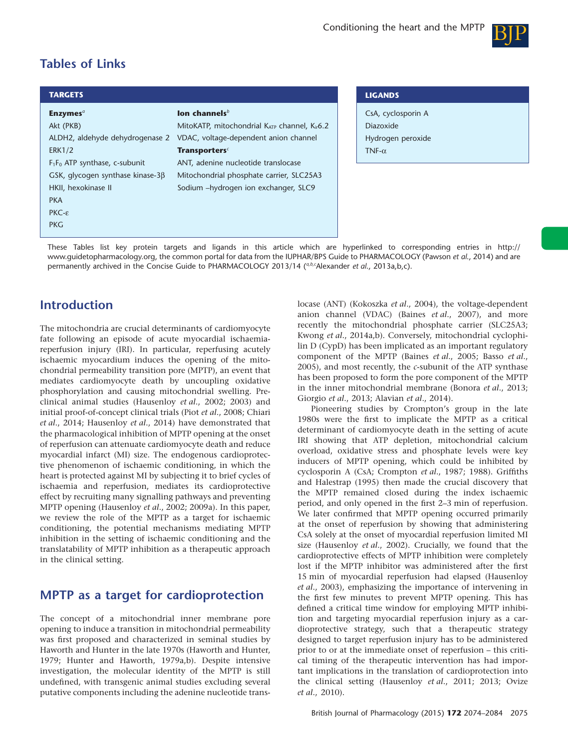

# **Tables of Links**

| <b>TARGETS</b>                                                                                                                                                                                                                                 |                                                                                                                                                                                                                                                                                    | <b>LIGANDS</b>                                                        |
|------------------------------------------------------------------------------------------------------------------------------------------------------------------------------------------------------------------------------------------------|------------------------------------------------------------------------------------------------------------------------------------------------------------------------------------------------------------------------------------------------------------------------------------|-----------------------------------------------------------------------|
| Enzymes <sup>a</sup><br>Akt (PKB)<br>ALDH2, aldehyde dehydrogenase 2<br><b>ERK1/2</b><br>$F_1F_0$ ATP synthase, c-subunit<br>GSK, glycogen synthase kinase- $3\beta$<br>HKII, hexokinase II<br><b>PKA</b><br>$PKC - \varepsilon$<br><b>PKG</b> | lon channels $b$<br>MitoKATP, mitochondrial $K_{ATP}$ channel, $K_{ir}6.2$<br>VDAC, voltage-dependent anion channel<br><b>Transporters</b> <sup>c</sup><br>ANT, adenine nucleotide translocase<br>Mitochondrial phosphate carrier, SLC25A3<br>Sodium -hydrogen ion exchanger, SLC9 | CsA, cyclosporin A<br>Diazoxide<br>Hydrogen peroxide<br>TNF- $\alpha$ |

These Tables list key protein targets and ligands in this article which are hyperlinked to corresponding entries in [http://](http://www.guidetopharmacology.org/) [www.guidetopharmacology.org,](http://www.guidetopharmacology.org/) the common portal for data from the IUPHAR/BPS Guide to PHARMACOLOGY (Pawson *et al*., 2014) and are permanently archived in the Concise Guide to PHARMACOLOGY 2013/14 (<sup>a,b,c</sup>Alexander *et al.*, 2013a,b,c).

## **Introduction**

The mitochondria are crucial determinants of cardiomyocyte fate following an episode of acute myocardial ischaemiareperfusion injury (IRI). In particular, reperfusing acutely ischaemic myocardium induces the opening of the mitochondrial permeability transition pore (MPTP), an event that mediates cardiomyocyte death by uncoupling oxidative phosphorylation and causing mitochondrial swelling. Preclinical animal studies (Hausenloy *et al*., 2002; 2003) and initial proof-of-concept clinical trials (Piot *et al*., 2008; Chiari *et al*., 2014; Hausenloy *et al*., 2014) have demonstrated that the pharmacological inhibition of MPTP opening at the onset of reperfusion can attenuate cardiomyocyte death and reduce myocardial infarct (MI) size. The endogenous cardioprotective phenomenon of ischaemic conditioning, in which the heart is protected against MI by subjecting it to brief cycles of ischaemia and reperfusion, mediates its cardioprotective effect by recruiting many signalling pathways and preventing MPTP opening (Hausenloy *et al*., 2002; 2009a). In this paper, we review the role of the MPTP as a target for ischaemic conditioning, the potential mechanisms mediating MPTP inhibition in the setting of ischaemic conditioning and the translatability of MPTP inhibition as a therapeutic approach in the clinical setting.

## **MPTP as a target for cardioprotection**

The concept of a mitochondrial inner membrane pore opening to induce a transition in mitochondrial permeability was first proposed and characterized in seminal studies by Haworth and Hunter in the late 1970s (Haworth and Hunter, 1979; Hunter and Haworth, 1979a,b). Despite intensive investigation, the molecular identity of the MPTP is still undefined, with transgenic animal studies excluding several putative components including the adenine nucleotide translocase (ANT) (Kokoszka *et al*., 2004), the voltage-dependent anion channel (VDAC) (Baines *et al*., 2007), and more recently the mitochondrial phosphate carrier (SLC25A3; Kwong *et al*., 2014a,b). Conversely, mitochondrial cyclophilin D (CypD) has been implicated as an important regulatory component of the MPTP (Baines *et al*., 2005; Basso *et al*., 2005), and most recently, the *c*-subunit of the ATP synthase has been proposed to form the pore component of the MPTP in the inner mitochondrial membrane (Bonora *et al*., 2013; Giorgio *et al*., 2013; Alavian *et al*., 2014).

Pioneering studies by Crompton's group in the late 1980s were the first to implicate the MPTP as a critical determinant of cardiomyocyte death in the setting of acute IRI showing that ATP depletion, mitochondrial calcium overload, oxidative stress and phosphate levels were key inducers of MPTP opening, which could be inhibited by cyclosporin A (CsA; Crompton *et al*., 1987; 1988). Griffiths and Halestrap (1995) then made the crucial discovery that the MPTP remained closed during the index ischaemic period, and only opened in the first 2–3 min of reperfusion. We later confirmed that MPTP opening occurred primarily at the onset of reperfusion by showing that administering CsA solely at the onset of myocardial reperfusion limited MI size (Hausenloy *et al*., 2002). Crucially, we found that the cardioprotective effects of MPTP inhibition were completely lost if the MPTP inhibitor was administered after the first 15 min of myocardial reperfusion had elapsed (Hausenloy *et al*., 2003), emphasizing the importance of intervening in the first few minutes to prevent MPTP opening. This has defined a critical time window for employing MPTP inhibition and targeting myocardial reperfusion injury as a cardioprotective strategy, such that a therapeutic strategy designed to target reperfusion injury has to be administered prior to or at the immediate onset of reperfusion – this critical timing of the therapeutic intervention has had important implications in the translation of cardioprotection into the clinical setting (Hausenloy *et al*., 2011; 2013; Ovize *et al*., 2010).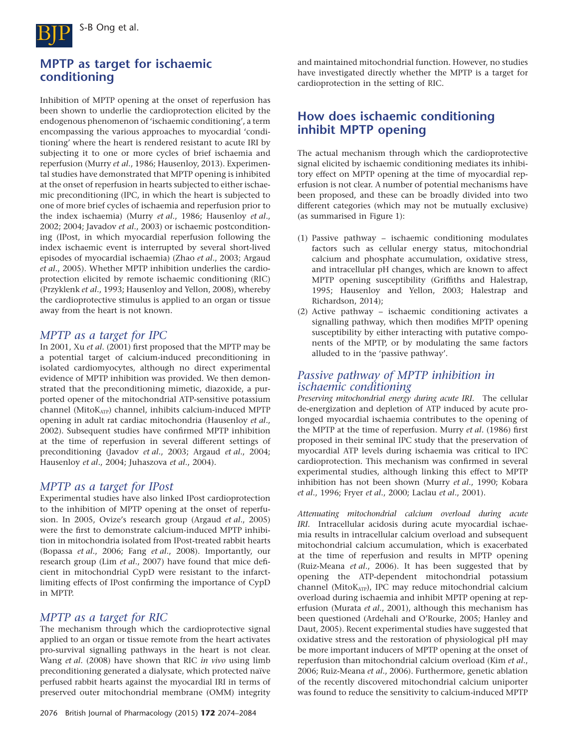

# **MPTP as target for ischaemic conditioning**

Inhibition of MPTP opening at the onset of reperfusion has been shown to underlie the cardioprotection elicited by the endogenous phenomenon of 'ischaemic conditioning', a term encompassing the various approaches to myocardial 'conditioning' where the heart is rendered resistant to acute IRI by subjecting it to one or more cycles of brief ischaemia and reperfusion (Murry *et al*., 1986; Hausenloy, 2013). Experimental studies have demonstrated that MPTP opening is inhibited at the onset of reperfusion in hearts subjected to either ischaemic preconditioning (IPC, in which the heart is subjected to one of more brief cycles of ischaemia and reperfusion prior to the index ischaemia) (Murry *et al*., 1986; Hausenloy *et al*., 2002; 2004; Javadov *et al*., 2003) or ischaemic postconditioning (IPost, in which myocardial reperfusion following the index ischaemic event is interrupted by several short-lived episodes of myocardial ischaemia) (Zhao *et al*., 2003; Argaud *et al*., 2005). Whether MPTP inhibition underlies the cardioprotection elicited by remote ischaemic conditioning (RIC) (Przyklenk *et al*., 1993; Hausenloy and Yellon, 2008), whereby the cardioprotective stimulus is applied to an organ or tissue away from the heart is not known.

#### *MPTP as a target for IPC*

In 2001, Xu *et al*. (2001) first proposed that the MPTP may be a potential target of calcium-induced preconditioning in isolated cardiomyocytes, although no direct experimental evidence of MPTP inhibition was provided. We then demonstrated that the preconditioning mimetic, diazoxide, a purported opener of the mitochondrial ATP-sensitive potassium channel (MitoK<sub>ATP</sub>) channel, inhibits calcium-induced MPTP opening in adult rat cardiac mitochondria (Hausenloy *et al*., 2002). Subsequent studies have confirmed MPTP inhibition at the time of reperfusion in several different settings of preconditioning (Javadov *et al*., 2003; Argaud *et al*., 2004; Hausenloy *et al*., 2004; Juhaszova *et al*., 2004).

#### *MPTP as a target for IPost*

Experimental studies have also linked IPost cardioprotection to the inhibition of MPTP opening at the onset of reperfusion. In 2005, Ovize's research group (Argaud *et al*., 2005) were the first to demonstrate calcium-induced MPTP inhibition in mitochondria isolated from IPost-treated rabbit hearts (Bopassa *et al*., 2006; Fang *et al*., 2008). Importantly, our research group (Lim *et al*., 2007) have found that mice deficient in mitochondrial CypD were resistant to the infarctlimiting effects of IPost confirming the importance of CypD in MPTP.

### *MPTP as a target for RIC*

The mechanism through which the cardioprotective signal applied to an organ or tissue remote from the heart activates pro-survival signalling pathways in the heart is not clear. Wang *et al*. (2008) have shown that RIC *in vivo* using limb preconditioning generated a dialysate, which protected naïve perfused rabbit hearts against the myocardial IRI in terms of preserved outer mitochondrial membrane (OMM) integrity

and maintained mitochondrial function. However, no studies have investigated directly whether the MPTP is a target for cardioprotection in the setting of RIC.

# **How does ischaemic conditioning inhibit MPTP opening**

The actual mechanism through which the cardioprotective signal elicited by ischaemic conditioning mediates its inhibitory effect on MPTP opening at the time of myocardial reperfusion is not clear. A number of potential mechanisms have been proposed, and these can be broadly divided into two different categories (which may not be mutually exclusive) (as summarised in Figure 1):

- (1) Passive pathway ischaemic conditioning modulates factors such as cellular energy status, mitochondrial calcium and phosphate accumulation, oxidative stress, and intracellular pH changes, which are known to affect MPTP opening susceptibility (Griffiths and Halestrap, 1995; Hausenloy and Yellon, 2003; Halestrap and Richardson, 2014);
- (2) Active pathway ischaemic conditioning activates a signalling pathway, which then modifies MPTP opening susceptibility by either interacting with putative components of the MPTP, or by modulating the same factors alluded to in the 'passive pathway'.

### *Passive pathway of MPTP inhibition in ischaemic conditioning*

*Preserving mitochondrial energy during acute IRI.* The cellular de-energization and depletion of ATP induced by acute prolonged myocardial ischaemia contributes to the opening of the MPTP at the time of reperfusion. Murry *et al*. (1986) first proposed in their seminal IPC study that the preservation of myocardial ATP levels during ischaemia was critical to IPC cardioprotection. This mechanism was confirmed in several experimental studies, although linking this effect to MPTP inhibition has not been shown (Murry *et al*., 1990; Kobara *et al*., 1996; Fryer *et al*., 2000; Laclau *et al*., 2001).

*Attenuating mitochondrial calcium overload during acute IRI.* Intracellular acidosis during acute myocardial ischaemia results in intracellular calcium overload and subsequent mitochondrial calcium accumulation, which is exacerbated at the time of reperfusion and results in MPTP opening (Ruiz-Meana *et al*., 2006). It has been suggested that by opening the ATP-dependent mitochondrial potassium channel (MitoKATP), IPC may reduce mitochondrial calcium overload during ischaemia and inhibit MPTP opening at reperfusion (Murata *et al*., 2001), although this mechanism has been questioned (Ardehali and O'Rourke, 2005; Hanley and Daut, 2005). Recent experimental studies have suggested that oxidative stress and the restoration of physiological pH may be more important inducers of MPTP opening at the onset of reperfusion than mitochondrial calcium overload (Kim *et al*., 2006; Ruiz-Meana *et al*., 2006). Furthermore, genetic ablation of the recently discovered mitochondrial calcium uniporter was found to reduce the sensitivity to calcium-induced MPTP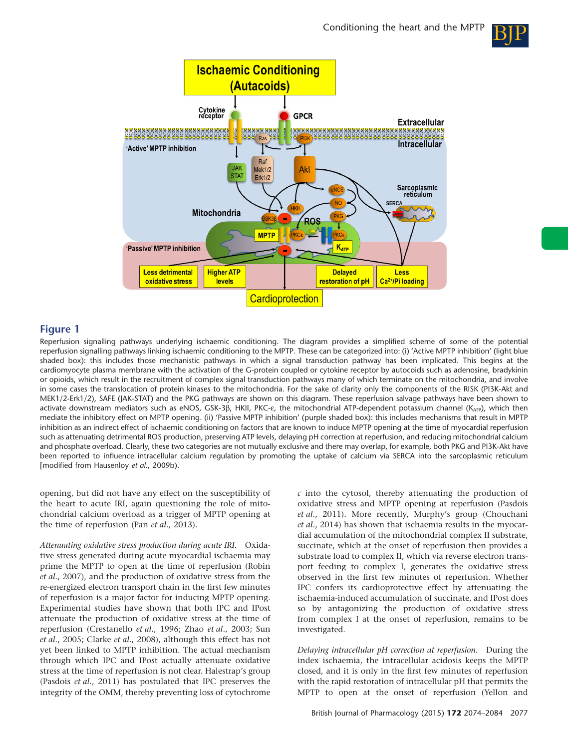



#### **Figure 1**

Reperfusion signalling pathways underlying ischaemic conditioning. The diagram provides a simplified scheme of some of the potential reperfusion signalling pathways linking ischaemic conditioning to the MPTP. These can be categorized into: (i) 'Active MPTP inhibition' (light blue shaded box): this includes those mechanistic pathways in which a signal transduction pathway has been implicated. This begins at the cardiomyocyte plasma membrane with the activation of the G-protein coupled or cytokine receptor by autocoids such as adenosine, bradykinin or opioids, which result in the recruitment of complex signal transduction pathways many of which terminate on the mitochondria, and involve in some cases the translocation of protein kinases to the mitochondria. For the sake of clarity only the components of the RISK (PI3K-Akt and MEK1/2-Erk1/2), SAFE (JAK-STAT) and the PKG pathways are shown on this diagram. These reperfusion salvage pathways have been shown to activate downstream mediators such as eNOS, GSK-3β, HKII, PKC-ε, the mitochondrial ATP-dependent potassium channel (K<sub>ATP</sub>), which then mediate the inhibitory effect on MPTP opening. (ii) 'Passive MPTP inhibition' (purple shaded box): this includes mechanisms that result in MPTP inhibition as an indirect effect of ischaemic conditioning on factors that are known to induce MPTP opening at the time of myocardial reperfusion such as attenuating detrimental ROS production, preserving ATP levels, delaying pH correction at reperfusion, and reducing mitochondrial calcium and phosphate overload. Clearly, these two categories are not mutually exclusive and there may overlap, for example, both PKG and PI3K-Akt have been reported to influence intracellular calcium regulation by promoting the uptake of calcium via SERCA into the sarcoplasmic reticulum [modified from Hausenloy *et al*., 2009b).

opening, but did not have any effect on the susceptibility of the heart to acute IRI, again questioning the role of mitochondrial calcium overload as a trigger of MPTP opening at the time of reperfusion (Pan *et al*., 2013).

*Attenuating oxidative stress production during acute IRI.* Oxidative stress generated during acute myocardial ischaemia may prime the MPTP to open at the time of reperfusion (Robin *et al*., 2007), and the production of oxidative stress from the re-energized electron transport chain in the first few minutes of reperfusion is a major factor for inducing MPTP opening. Experimental studies have shown that both IPC and IPost attenuate the production of oxidative stress at the time of reperfusion (Crestanello *et al*., 1996; Zhao *et al*., 2003; Sun *et al*., 2005; Clarke *et al*., 2008), although this effect has not yet been linked to MPTP inhibition. The actual mechanism through which IPC and IPost actually attenuate oxidative stress at the time of reperfusion is not clear. Halestrap's group (Pasdois *et al*., 2011) has postulated that IPC preserves the integrity of the OMM, thereby preventing loss of cytochrome

*c* into the cytosol, thereby attenuating the production of oxidative stress and MPTP opening at reperfusion (Pasdois *et al*., 2011). More recently, Murphy's group (Chouchani *et al*., 2014) has shown that ischaemia results in the myocardial accumulation of the mitochondrial complex II substrate, succinate, which at the onset of reperfusion then provides a substrate load to complex II, which via reverse electron transport feeding to complex I, generates the oxidative stress observed in the first few minutes of reperfusion. Whether IPC confers its cardioprotective effect by attenuating the ischaemia-induced accumulation of succinate, and IPost does so by antagonizing the production of oxidative stress from complex I at the onset of reperfusion, remains to be investigated.

*Delaying intracellular pH correction at reperfusion.* During the index ischaemia, the intracellular acidosis keeps the MPTP closed, and it is only in the first few minutes of reperfusion with the rapid restoration of intracellular pH that permits the MPTP to open at the onset of reperfusion (Yellon and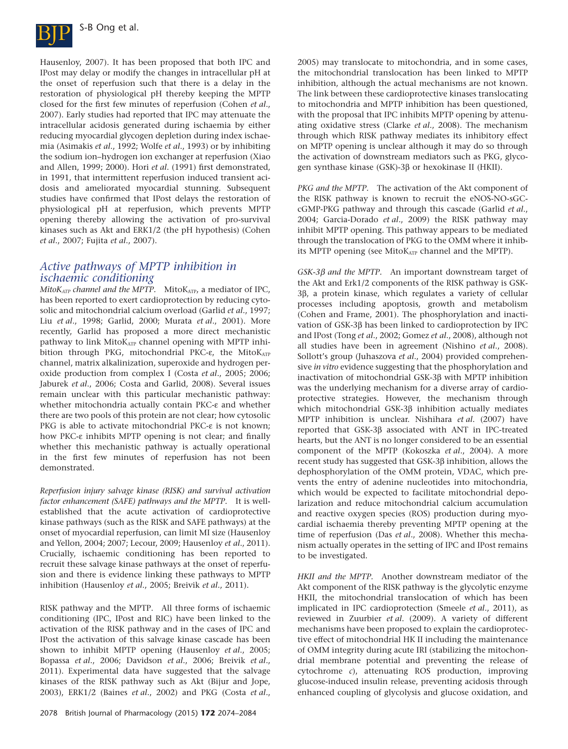

Hausenloy, 2007). It has been proposed that both IPC and IPost may delay or modify the changes in intracellular pH at the onset of reperfusion such that there is a delay in the restoration of physiological pH thereby keeping the MPTP closed for the first few minutes of reperfusion (Cohen *et al*., 2007). Early studies had reported that IPC may attenuate the intracellular acidosis generated during ischaemia by either reducing myocardial glycogen depletion during index ischaemia (Asimakis *et al*., 1992; Wolfe *et al*., 1993) or by inhibiting the sodium ion–hydrogen ion exchanger at reperfusion (Xiao and Allen, 1999; 2000). Hori *et al*. (1991) first demonstrated, in 1991, that intermittent reperfusion induced transient acidosis and ameliorated myocardial stunning. Subsequent studies have confirmed that IPost delays the restoration of physiological pH at reperfusion, which prevents MPTP opening thereby allowing the activation of pro-survival kinases such as Akt and ERK1/2 (the pH hypothesis) (Cohen *et al*., 2007; Fujita *et al*., 2007).

#### *Active pathways of MPTP inhibition in ischaemic conditioning*

*MitoK<sub>ATP</sub> channel and the MPTP.* MitoK<sub>ATP</sub>, a mediator of IPC, has been reported to exert cardioprotection by reducing cytosolic and mitochondrial calcium overload (Garlid *et al*., 1997; Liu *et al*., 1998; Garlid, 2000; Murata *et al*., 2001). More recently, Garlid has proposed a more direct mechanistic pathway to link MitoKATP channel opening with MPTP inhibition through PKG, mitochondrial PKC-ε, the MitoKATP channel, matrix alkalinization, superoxide and hydrogen peroxide production from complex I (Costa *et al*., 2005; 2006; Jaburek *et al*., 2006; Costa and Garlid, 2008). Several issues remain unclear with this particular mechanistic pathway: whether mitochondria actually contain PKC-ε and whether there are two pools of this protein are not clear; how cytosolic PKG is able to activate mitochondrial PKC-ε is not known; how PKC-ε inhibits MPTP opening is not clear; and finally whether this mechanistic pathway is actually operational in the first few minutes of reperfusion has not been demonstrated.

*Reperfusion injury salvage kinase (RISK) and survival activation factor enhancement (SAFE) pathways and the MPTP.* It is wellestablished that the acute activation of cardioprotective kinase pathways (such as the RISK and SAFE pathways) at the onset of myocardial reperfusion, can limit MI size (Hausenloy and Yellon, 2004; 2007; Lecour, 2009; Hausenloy *et al*., 2011). Crucially, ischaemic conditioning has been reported to recruit these salvage kinase pathways at the onset of reperfusion and there is evidence linking these pathways to MPTP inhibition (Hausenloy *et al*., 2005; Breivik *et al*., 2011).

RISK pathway and the MPTP. All three forms of ischaemic conditioning (IPC, IPost and RIC) have been linked to the activation of the RISK pathway and in the cases of IPC and IPost the activation of this salvage kinase cascade has been shown to inhibit MPTP opening (Hausenloy *et al*., 2005; Bopassa *et al*., 2006; Davidson *et al*., 2006; Breivik *et al*., 2011). Experimental data have suggested that the salvage kinases of the RISK pathway such as Akt (Bijur and Jope, 2003), ERK1/2 (Baines *et al*., 2002) and PKG (Costa *et al*., 2005) may translocate to mitochondria, and in some cases, the mitochondrial translocation has been linked to MPTP inhibition, although the actual mechanisms are not known. The link between these cardioprotective kinases translocating to mitochondria and MPTP inhibition has been questioned, with the proposal that IPC inhibits MPTP opening by attenuating oxidative stress (Clarke *et al*., 2008). The mechanism through which RISK pathway mediates its inhibitory effect on MPTP opening is unclear although it may do so through the activation of downstream mediators such as PKG, glycogen synthase kinase (GSK)-3β or hexokinase II (HKII).

*PKG and the MPTP.* The activation of the Akt component of the RISK pathway is known to recruit the eNOS-NO-sGCcGMP-PKG pathway and through this cascade (Garlid *et al*., 2004; Garcia-Dorado *et al*., 2009) the RISK pathway may inhibit MPTP opening. This pathway appears to be mediated through the translocation of PKG to the OMM where it inhibits MPTP opening (see MitoKATP channel and the MPTP).

*GSK-3β and the MPTP.* An important downstream target of the Akt and Erk1/2 components of the RISK pathway is GSK-3β, a protein kinase, which regulates a variety of cellular processes including apoptosis, growth and metabolism (Cohen and Frame, 2001). The phosphorylation and inactivation of GSK-3β has been linked to cardioprotection by IPC and IPost (Tong *et al*., 2002; Gomez *et al*., 2008), although not all studies have been in agreement (Nishino *et al*., 2008). Sollott's group (Juhaszova *et al*., 2004) provided comprehensive *in vitro* evidence suggesting that the phosphorylation and inactivation of mitochondrial GSK-3β with MPTP inhibition was the underlying mechanism for a diverse array of cardioprotective strategies. However, the mechanism through which mitochondrial GSK-3β inhibition actually mediates MPTP inhibition is unclear. Nishihara *et al*. (2007) have reported that GSK-3β associated with ANT in IPC-treated hearts, but the ANT is no longer considered to be an essential component of the MPTP (Kokoszka *et al*., 2004). A more recent study has suggested that GSK-3β inhibition, allows the dephosphorylation of the OMM protein, VDAC, which prevents the entry of adenine nucleotides into mitochondria, which would be expected to facilitate mitochondrial depolarization and reduce mitochondrial calcium accumulation and reactive oxygen species (ROS) production during myocardial ischaemia thereby preventing MPTP opening at the time of reperfusion (Das *et al*., 2008). Whether this mechanism actually operates in the setting of IPC and IPost remains to be investigated.

*HKII and the MPTP.* Another downstream mediator of the Akt component of the RISK pathway is the glycolytic enzyme HKII, the mitochondrial translocation of which has been implicated in IPC cardioprotection (Smeele *et al*., 2011), as reviewed in Zuurbier *et al*. (2009). A variety of different mechanisms have been proposed to explain the cardioprotective effect of mitochondrial HK II including the maintenance of OMM integrity during acute IRI (stabilizing the mitochondrial membrane potential and preventing the release of cytochrome *c*), attenuating ROS production, improving glucose-induced insulin release, preventing acidosis through enhanced coupling of glycolysis and glucose oxidation, and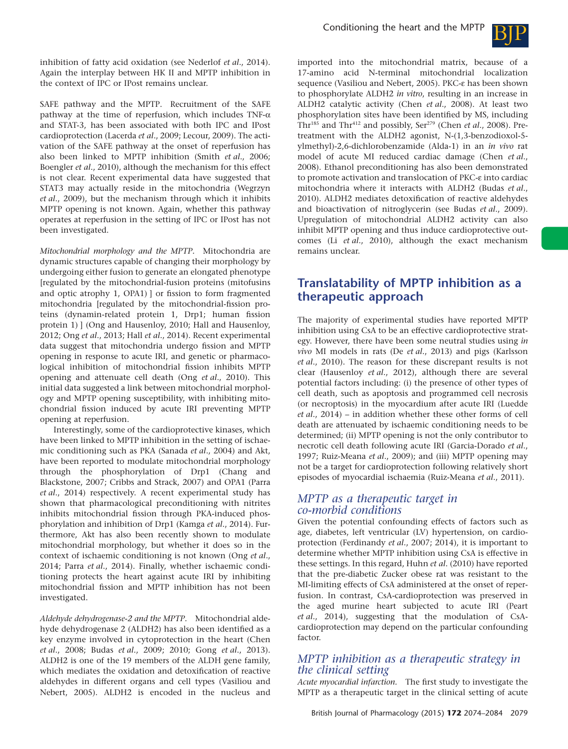

inhibition of fatty acid oxidation (see Nederlof *et al*., 2014). Again the interplay between HK II and MPTP inhibition in the context of IPC or IPost remains unclear.

SAFE pathway and the MPTP. Recruitment of the SAFE pathway at the time of reperfusion, which includes TNF- $\alpha$ and STAT-3, has been associated with both IPC and IPost cardioprotection (Lacerda *et al*., 2009; Lecour, 2009). The activation of the SAFE pathway at the onset of reperfusion has also been linked to MPTP inhibition (Smith *et al*., 2006; Boengler *et al*., 2010), although the mechanism for this effect is not clear. Recent experimental data have suggested that STAT3 may actually reside in the mitochondria (Wegrzyn *et al*., 2009), but the mechanism through which it inhibits MPTP opening is not known. Again, whether this pathway operates at reperfusion in the setting of IPC or IPost has not been investigated.

*Mitochondrial morphology and the MPTP.* Mitochondria are dynamic structures capable of changing their morphology by undergoing either fusion to generate an elongated phenotype [regulated by the mitochondrial-fusion proteins (mitofusins and optic atrophy 1, OPA1) ] or fission to form fragmented mitochondria [regulated by the mitochondrial-fission proteins (dynamin-related protein 1, Drp1; human fission protein 1) ] (Ong and Hausenloy, 2010; Hall and Hausenloy, 2012; Ong *et al*., 2013; Hall *et al*., 2014). Recent experimental data suggest that mitochondria undergo fission and MPTP opening in response to acute IRI, and genetic or pharmacological inhibition of mitochondrial fission inhibits MPTP opening and attenuate cell death (Ong *et al*., 2010). This initial data suggested a link between mitochondrial morphology and MPTP opening susceptibility, with inhibiting mitochondrial fission induced by acute IRI preventing MPTP opening at reperfusion.

Interestingly, some of the cardioprotective kinases, which have been linked to MPTP inhibition in the setting of ischaemic conditioning such as PKA (Sanada *et al*., 2004) and Akt, have been reported to modulate mitochondrial morphology through the phosphorylation of Drp1 (Chang and Blackstone, 2007; Cribbs and Strack, 2007) and OPA1 (Parra *et al*., 2014) respectively. A recent experimental study has shown that pharmacological preconditioning with nitrites inhibits mitochondrial fission through PKA-induced phosphorylation and inhibition of Drp1 (Kamga *et al*., 2014). Furthermore, Akt has also been recently shown to modulate mitochondrial morphology, but whether it does so in the context of ischaemic conditioning is not known (Ong *et al*., 2014; Parra *et al*., 2014). Finally, whether ischaemic conditioning protects the heart against acute IRI by inhibiting mitochondrial fission and MPTP inhibition has not been investigated.

*Aldehyde dehydrogenase-2 and the MPTP.* Mitochondrial aldehyde dehydrogenase 2 (ALDH2) has also been identified as a key enzyme involved in cytoprotection in the heart (Chen *et al*., 2008; Budas *et al*., 2009; 2010; Gong *et al*., 2013). ALDH2 is one of the 19 members of the ALDH gene family, which mediates the oxidation and detoxification of reactive aldehydes in different organs and cell types (Vasiliou and Nebert, 2005). ALDH2 is encoded in the nucleus and

imported into the mitochondrial matrix, because of a 17-amino acid N-terminal mitochondrial localization sequence (Vasiliou and Nebert, 2005). PKC-ε has been shown to phosphorylate ALDH2 *in vitro*, resulting in an increase in ALDH2 catalytic activity (Chen *et al*., 2008). At least two phosphorylation sites have been identified by MS, including Thr<sup>185</sup> and Thr<sup>412</sup> and possibly, Ser<sup>279</sup> (Chen *et al.*, 2008). Pretreatment with the ALDH2 agonist, N-(1,3-benzodioxol-5 ylmethyl)-2,6-dichlorobenzamide (Alda-1) in an *in vivo* rat model of acute MI reduced cardiac damage (Chen *et al*., 2008). Ethanol preconditioning has also been demonstrated to promote activation and translocation of PKC-ε into cardiac mitochondria where it interacts with ALDH2 (Budas *et al*., 2010). ALDH2 mediates detoxification of reactive aldehydes and bioactivation of nitroglycerin (see Budas *et al*., 2009). Upregulation of mitochondrial ALDH2 activity can also inhibit MPTP opening and thus induce cardioprotective outcomes (Li *et al*., 2010), although the exact mechanism remains unclear.

## **Translatability of MPTP inhibition as a therapeutic approach**

The majority of experimental studies have reported MPTP inhibition using CsA to be an effective cardioprotective strategy. However, there have been some neutral studies using *in vivo* MI models in rats (De *et al*., 2013) and pigs (Karlsson *et al*., 2010). The reason for these discrepant results is not clear (Hausenloy *et al*., 2012), although there are several potential factors including: (i) the presence of other types of cell death, such as apoptosis and programmed cell necrosis (or necroptosis) in the myocardium after acute IRI (Luedde *et al*., 2014) – in addition whether these other forms of cell death are attenuated by ischaemic conditioning needs to be determined; (ii) MPTP opening is not the only contributor to necrotic cell death following acute IRI (Garcia-Dorado *et al*., 1997; Ruiz-Meana *et al*., 2009); and (iii) MPTP opening may not be a target for cardioprotection following relatively short episodes of myocardial ischaemia (Ruiz-Meana *et al*., 2011).

#### *MPTP as a therapeutic target in co-morbid conditions*

Given the potential confounding effects of factors such as age, diabetes, left ventricular (LV) hypertension, on cardioprotection (Ferdinandy *et al*., 2007; 2014), it is important to determine whether MPTP inhibition using CsA is effective in these settings. In this regard, Huhn *et al*. (2010) have reported that the pre-diabetic Zucker obese rat was resistant to the MI-limiting effects of CsA administered at the onset of reperfusion. In contrast, CsA-cardioprotection was preserved in the aged murine heart subjected to acute IRI (Peart *et al*., 2014), suggesting that the modulation of CsAcardioprotection may depend on the particular confounding factor.

### *MPTP inhibition as a therapeutic strategy in the clinical setting*

*Acute myocardial infarction.* The first study to investigate the MPTP as a therapeutic target in the clinical setting of acute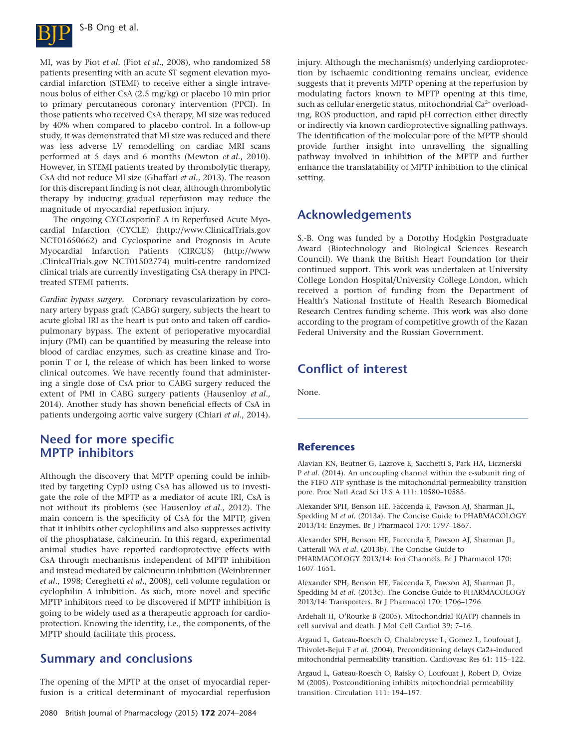

MI, was by Piot *et al*. (Piot *et al*., 2008), who randomized 58 patients presenting with an acute ST segment elevation myocardial infarction (STEMI) to receive either a single intravenous bolus of either CsA (2.5 mg/kg) or placebo 10 min prior to primary percutaneous coronary intervention (PPCI). In those patients who received CsA therapy, MI size was reduced by 40% when compared to placebo control. In a follow-up study, it was demonstrated that MI size was reduced and there was less adverse LV remodelling on cardiac MRI scans performed at 5 days and 6 months (Mewton *et al*., 2010). However, in STEMI patients treated by thrombolytic therapy, CsA did not reduce MI size (Ghaffari *et al*., 2013). The reason for this discrepant finding is not clear, although thrombolytic therapy by inducing gradual reperfusion may reduce the magnitude of myocardial reperfusion injury.

The ongoing CYCLosporinE A in Reperfused Acute Myocardial Infarction (CYCLE) [\(http://www.ClinicalTrials.gov](http://www.ClinicalTrials.gov) NCT01650662) and Cyclosporine and Prognosis in Acute Myocardial Infarction Patients (CIRCUS) [\(http://www](http://www.ClinicalTrials.gov) [.ClinicalTrials.gov](http://www.ClinicalTrials.gov) NCT01502774) multi-centre randomized clinical trials are currently investigating CsA therapy in PPCItreated STEMI patients.

*Cardiac bypass surgery.* Coronary revascularization by coronary artery bypass graft (CABG) surgery, subjects the heart to acute global IRI as the heart is put onto and taken off cardiopulmonary bypass. The extent of perioperative myocardial injury (PMI) can be quantified by measuring the release into blood of cardiac enzymes, such as creatine kinase and Troponin T or I, the release of which has been linked to worse clinical outcomes. We have recently found that administering a single dose of CsA prior to CABG surgery reduced the extent of PMI in CABG surgery patients (Hausenloy *et al*., 2014). Another study has shown beneficial effects of CsA in patients undergoing aortic valve surgery (Chiari *et al*., 2014).

## **Need for more specific MPTP inhibitors**

Although the discovery that MPTP opening could be inhibited by targeting CypD using CsA has allowed us to investigate the role of the MPTP as a mediator of acute IRI, CsA is not without its problems (see Hausenloy *et al*., 2012). The main concern is the specificity of CsA for the MPTP, given that it inhibits other cyclophilins and also suppresses activity of the phosphatase, calcineurin. In this regard, experimental animal studies have reported cardioprotective effects with CsA through mechanisms independent of MPTP inhibition and instead mediated by calcineurin inhibition (Weinbrenner *et al*., 1998; Cereghetti *et al*., 2008), cell volume regulation or cyclophilin A inhibition. As such, more novel and specific MPTP inhibitors need to be discovered if MPTP inhibition is going to be widely used as a therapeutic approach for cardioprotection. Knowing the identity, i.e., the components, of the MPTP should facilitate this process.

## **Summary and conclusions**

The opening of the MPTP at the onset of myocardial reperfusion is a critical determinant of myocardial reperfusion injury. Although the mechanism(s) underlying cardioprotection by ischaemic conditioning remains unclear, evidence suggests that it prevents MPTP opening at the reperfusion by modulating factors known to MPTP opening at this time, such as cellular energetic status, mitochondrial Ca<sup>2+</sup> overloading, ROS production, and rapid pH correction either directly or indirectly via known cardioprotective signalling pathways. The identification of the molecular pore of the MPTP should provide further insight into unravelling the signalling pathway involved in inhibition of the MPTP and further enhance the translatability of MPTP inhibition to the clinical setting.

## **Acknowledgements**

S.-B. Ong was funded by a Dorothy Hodgkin Postgraduate Award (Biotechnology and Biological Sciences Research Council). We thank the British Heart Foundation for their continued support. This work was undertaken at University College London Hospital/University College London, which received a portion of funding from the Department of Health's National Institute of Health Research Biomedical Research Centres funding scheme. This work was also done according to the program of competitive growth of the Kazan Federal University and the Russian Government.

## **Conflict of interest**

None.

#### **References**

Alavian KN, Beutner G, Lazrove E, Sacchetti S, Park HA, Licznerski P *et al*. (2014). An uncoupling channel within the c-subunit ring of the F1FO ATP synthase is the mitochondrial permeability transition pore. Proc Natl Acad Sci U S A 111: 10580-10585.

Alexander SPH, Benson HE, Faccenda E, Pawson AJ, Sharman JL, Spedding M *et al*. (2013a). The Concise Guide to PHARMACOLOGY 2013/14: Enzymes. Br J Pharmacol 170: 1797–1867.

Alexander SPH, Benson HE, Faccenda E, Pawson AJ, Sharman JL, Catterall WA *et al*. (2013b). The Concise Guide to PHARMACOLOGY 2013/14: Ion Channels. Br J Pharmacol 170: 1607–1651.

Alexander SPH, Benson HE, Faccenda E, Pawson AJ, Sharman JL, Spedding M *et al*. (2013c). The Concise Guide to PHARMACOLOGY 2013/14: Transporters. Br J Pharmacol 170: 1706–1796.

Ardehali H, O'Rourke B (2005). Mitochondrial K(ATP) channels in cell survival and death. J Mol Cell Cardiol 39: 7–16.

Argaud L, Gateau-Roesch O, Chalabreysse L, Gomez L, Loufouat J, Thivolet-Bejui F *et al*. (2004). Preconditioning delays Ca2+-induced mitochondrial permeability transition. Cardiovasc Res 61: 115–122.

Argaud L, Gateau-Roesch O, Raisky O, Loufouat J, Robert D, Ovize M (2005). Postconditioning inhibits mitochondrial permeability transition. Circulation 111: 194–197.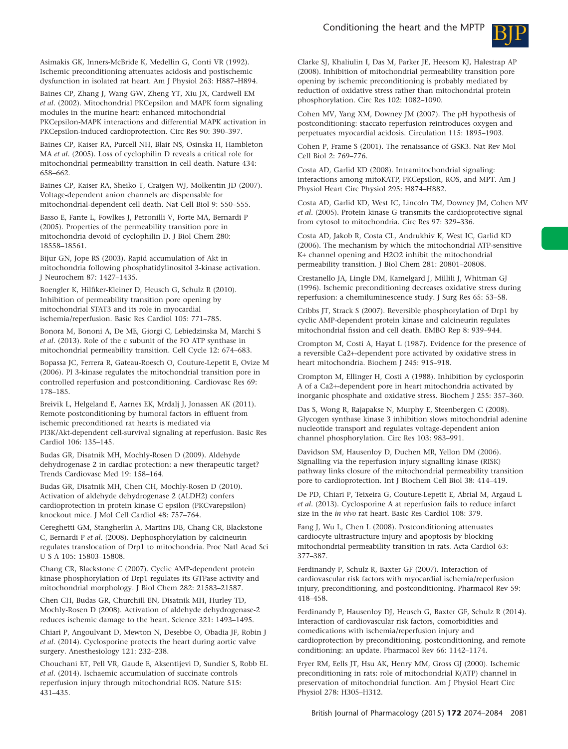

Asimakis GK, Inners-McBride K, Medellin G, Conti VR (1992). Ischemic preconditioning attenuates acidosis and postischemic dysfunction in isolated rat heart. Am J Physiol 263: H887–H894.

Baines CP, Zhang J, Wang GW, Zheng YT, Xiu JX, Cardwell EM *et al*. (2002). Mitochondrial PKCepsilon and MAPK form signaling modules in the murine heart: enhanced mitochondrial PKCepsilon-MAPK interactions and differential MAPK activation in PKCepsilon-induced cardioprotection. Circ Res 90: 390–397.

Baines CP, Kaiser RA, Purcell NH, Blair NS, Osinska H, Hambleton MA *et al*. (2005). Loss of cyclophilin D reveals a critical role for mitochondrial permeability transition in cell death. Nature 434: 658–662.

Baines CP, Kaiser RA, Sheiko T, Craigen WJ, Molkentin JD (2007). Voltage-dependent anion channels are dispensable for mitochondrial-dependent cell death. Nat Cell Biol 9: 550–555.

Basso E, Fante L, Fowlkes J, Petronilli V, Forte MA, Bernardi P (2005). Properties of the permeability transition pore in mitochondria devoid of cyclophilin D. J Biol Chem 280: 18558–18561.

Bijur GN, Jope RS (2003). Rapid accumulation of Akt in mitochondria following phosphatidylinositol 3-kinase activation. J Neurochem 87: 1427–1435.

Boengler K, Hilfiker-Kleiner D, Heusch G, Schulz R (2010). Inhibition of permeability transition pore opening by mitochondrial STAT3 and its role in myocardial ischemia/reperfusion. Basic Res Cardiol 105: 771–785.

Bonora M, Bononi A, De ME, Giorgi C, Lebiedzinska M, Marchi S *et al*. (2013). Role of the c subunit of the FO ATP synthase in mitochondrial permeability transition. Cell Cycle 12: 674–683.

Bopassa JC, Ferrera R, Gateau-Roesch O, Couture-Lepetit E, Ovize M (2006). PI 3-kinase regulates the mitochondrial transition pore in controlled reperfusion and postconditioning. Cardiovasc Res 69: 178–185.

Breivik L, Helgeland E, Aarnes EK, Mrdalj J, Jonassen AK (2011). Remote postconditioning by humoral factors in effluent from ischemic preconditioned rat hearts is mediated via PI3K/Akt-dependent cell-survival signaling at reperfusion. Basic Res Cardiol 106: 135–145.

Budas GR, Disatnik MH, Mochly-Rosen D (2009). Aldehyde dehydrogenase 2 in cardiac protection: a new therapeutic target? Trends Cardiovasc Med 19: 158–164.

Budas GR, Disatnik MH, Chen CH, Mochly-Rosen D (2010). Activation of aldehyde dehydrogenase 2 (ALDH2) confers cardioprotection in protein kinase C epsilon (PKCvarepsilon) knockout mice. J Mol Cell Cardiol 48: 757–764.

Cereghetti GM, Stangherlin A, Martins DB, Chang CR, Blackstone C, Bernardi P *et al*. (2008). Dephosphorylation by calcineurin regulates translocation of Drp1 to mitochondria. Proc Natl Acad Sci U S A 105: 15803–15808.

Chang CR, Blackstone C (2007). Cyclic AMP-dependent protein kinase phosphorylation of Drp1 regulates its GTPase activity and mitochondrial morphology. J Biol Chem 282: 21583–21587.

Chen CH, Budas GR, Churchill EN, Disatnik MH, Hurley TD, Mochly-Rosen D (2008). Activation of aldehyde dehydrogenase-2 reduces ischemic damage to the heart. Science 321: 1493–1495.

Chiari P, Angoulvant D, Mewton N, Desebbe O, Obadia JF, Robin J *et al*. (2014). Cyclosporine protects the heart during aortic valve surgery. Anesthesiology 121: 232–238.

Chouchani ET, Pell VR, Gaude E, Aksentijevi D, Sundier S, Robb EL *et al*. (2014). Ischaemic accumulation of succinate controls reperfusion injury through mitochondrial ROS. Nature 515: 431–435.

Clarke SJ, Khaliulin I, Das M, Parker JE, Heesom KJ, Halestrap AP (2008). Inhibition of mitochondrial permeability transition pore opening by ischemic preconditioning is probably mediated by reduction of oxidative stress rather than mitochondrial protein phosphorylation. Circ Res 102: 1082–1090.

Cohen MV, Yang XM, Downey JM (2007). The pH hypothesis of postconditioning: staccato reperfusion reintroduces oxygen and perpetuates myocardial acidosis. Circulation 115: 1895–1903.

Cohen P, Frame S (2001). The renaissance of GSK3. Nat Rev Mol Cell Biol 2: 769–776.

Costa AD, Garlid KD (2008). Intramitochondrial signaling: interactions among mitoKATP, PKCepsilon, ROS, and MPT. Am J Physiol Heart Circ Physiol 295: H874–H882.

Costa AD, Garlid KD, West IC, Lincoln TM, Downey JM, Cohen MV *et al*. (2005). Protein kinase G transmits the cardioprotective signal from cytosol to mitochondria. Circ Res 97: 329–336.

Costa AD, Jakob R, Costa CL, Andrukhiv K, West IC, Garlid KD (2006). The mechanism by which the mitochondrial ATP-sensitive K+ channel opening and H2O2 inhibit the mitochondrial permeability transition. J Biol Chem 281: 20801–20808.

Crestanello JA, Lingle DM, Kamelgard J, Millili J, Whitman GJ (1996). Ischemic preconditioning decreases oxidative stress during reperfusion: a chemiluminescence study. J Surg Res 65: 53–58.

Cribbs JT, Strack S (2007). Reversible phosphorylation of Drp1 by cyclic AMP-dependent protein kinase and calcineurin regulates mitochondrial fission and cell death. EMBO Rep 8: 939–944.

Crompton M, Costi A, Hayat L (1987). Evidence for the presence of a reversible Ca2+-dependent pore activated by oxidative stress in heart mitochondria. Biochem J 245: 915–918.

Crompton M, Ellinger H, Costi A (1988). Inhibition by cyclosporin A of a Ca2+-dependent pore in heart mitochondria activated by inorganic phosphate and oxidative stress. Biochem J 255: 357–360.

Das S, Wong R, Rajapakse N, Murphy E, Steenbergen C (2008). Glycogen synthase kinase 3 inhibition slows mitochondrial adenine nucleotide transport and regulates voltage-dependent anion channel phosphorylation. Circ Res 103: 983–991.

Davidson SM, Hausenloy D, Duchen MR, Yellon DM (2006). Signalling via the reperfusion injury signalling kinase (RISK) pathway links closure of the mitochondrial permeability transition pore to cardioprotection. Int J Biochem Cell Biol 38: 414–419.

De PD, Chiari P, Teixeira G, Couture-Lepetit E, Abrial M, Argaud L *et al*. (2013). Cyclosporine A at reperfusion fails to reduce infarct size in the *in vivo* rat heart. Basic Res Cardiol 108: 379.

Fang J, Wu L, Chen L (2008). Postconditioning attenuates cardiocyte ultrastructure injury and apoptosis by blocking mitochondrial permeability transition in rats. Acta Cardiol 63: 377–387.

Ferdinandy P, Schulz R, Baxter GF (2007). Interaction of cardiovascular risk factors with myocardial ischemia/reperfusion injury, preconditioning, and postconditioning. Pharmacol Rev 59: 418–458.

Ferdinandy P, Hausenloy DJ, Heusch G, Baxter GF, Schulz R (2014). Interaction of cardiovascular risk factors, comorbidities and comedications with ischemia/reperfusion injury and cardioprotection by preconditioning, postconditioning, and remote conditioning: an update. Pharmacol Rev 66: 1142–1174.

Fryer RM, Eells JT, Hsu AK, Henry MM, Gross GJ (2000). Ischemic preconditioning in rats: role of mitochondrial K(ATP) channel in preservation of mitochondrial function. Am J Physiol Heart Circ Physiol 278: H305–H312.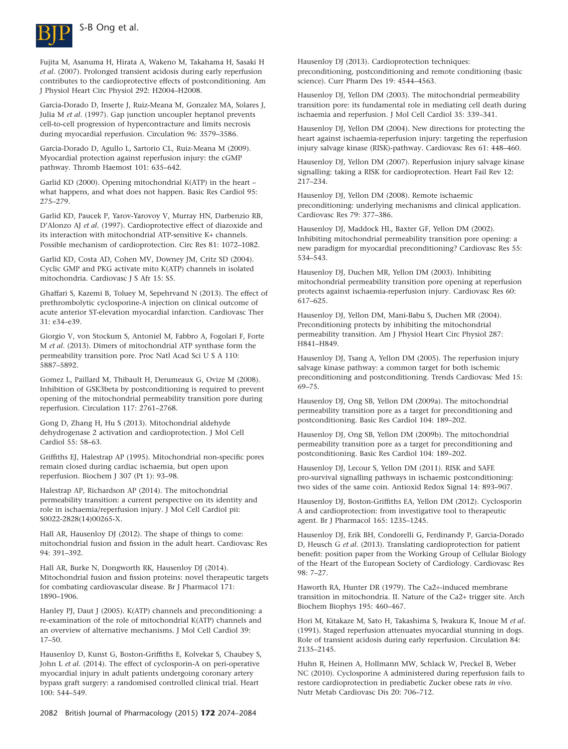

Fujita M, Asanuma H, Hirata A, Wakeno M, Takahama H, Sasaki H *et al*. (2007). Prolonged transient acidosis during early reperfusion contributes to the cardioprotective effects of postconditioning. Am J Physiol Heart Circ Physiol 292: H2004–H2008.

Garcia-Dorado D, Inserte J, Ruiz-Meana M, Gonzalez MA, Solares J, Julia M *et al*. (1997). Gap junction uncoupler heptanol prevents cell-to-cell progression of hypercontracture and limits necrosis during myocardial reperfusion. Circulation 96: 3579–3586.

Garcia-Dorado D, Agullo L, Sartorio CL, Ruiz-Meana M (2009). Myocardial protection against reperfusion injury: the cGMP pathway. Thromb Haemost 101: 635–642.

Garlid KD (2000). Opening mitochondrial K(ATP) in the heart – what happens, and what does not happen. Basic Res Cardiol 95: 275–279.

Garlid KD, Paucek P, Yarov-Yarovoy V, Murray HN, Darbenzio RB, D'Alonzo AJ *et al*. (1997). Cardioprotective effect of diazoxide and its interaction with mitochondrial ATP-sensitive K+ channels. Possible mechanism of cardioprotection. Circ Res 81: 1072–1082.

Garlid KD, Costa AD, Cohen MV, Downey JM, Critz SD (2004). Cyclic GMP and PKG activate mito K(ATP) channels in isolated mitochondria. Cardiovasc J S Afr 15: S5.

Ghaffari S, Kazemi B, Toluey M, Sepehrvand N (2013). The effect of prethrombolytic cyclosporine-A injection on clinical outcome of acute anterior ST-elevation myocardial infarction. Cardiovasc Ther 31: e34–e39.

Giorgio V, von Stockum S, Antoniel M, Fabbro A, Fogolari F, Forte M *et al*. (2013). Dimers of mitochondrial ATP synthase form the permeability transition pore. Proc Natl Acad Sci U S A 110: 5887–5892.

Gomez L, Paillard M, Thibault H, Derumeaux G, Ovize M (2008). Inhibition of GSK3beta by postconditioning is required to prevent opening of the mitochondrial permeability transition pore during reperfusion. Circulation 117: 2761–2768.

Gong D, Zhang H, Hu S (2013). Mitochondrial aldehyde dehydrogenase 2 activation and cardioprotection. J Mol Cell Cardiol 55: 58–63.

Griffiths EJ, Halestrap AP (1995). Mitochondrial non-specific pores remain closed during cardiac ischaemia, but open upon reperfusion. Biochem J 307 (Pt 1): 93–98.

Halestrap AP, Richardson AP (2014). The mitochondrial permeability transition: a current perspective on its identity and role in ischaemia/reperfusion injury. J Mol Cell Cardiol pii: S0022-2828(14)00265-X.

Hall AR, Hausenloy DJ (2012). The shape of things to come: mitochondrial fusion and fission in the adult heart. Cardiovasc Res 94: 391–392.

Hall AR, Burke N, Dongworth RK, Hausenloy DJ (2014). Mitochondrial fusion and fission proteins: novel therapeutic targets for combating cardiovascular disease. Br J Pharmacol 171: 1890–1906.

Hanley PJ, Daut J (2005). K(ATP) channels and preconditioning: a re-examination of the role of mitochondrial K(ATP) channels and an overview of alternative mechanisms. J Mol Cell Cardiol 39: 17–50.

Hausenloy D, Kunst G, Boston-Griffiths E, Kolvekar S, Chaubey S, John L *et al*. (2014). The effect of cyclosporin-A on peri-operative myocardial injury in adult patients undergoing coronary artery bypass graft surgery: a randomised controlled clinical trial. Heart 100: 544–549.

Hausenloy DJ (2013). Cardioprotection techniques: preconditioning, postconditioning and remote conditioning (basic science). Curr Pharm Des 19: 4544–4563.

Hausenloy DJ, Yellon DM (2003). The mitochondrial permeability transition pore: its fundamental role in mediating cell death during ischaemia and reperfusion. J Mol Cell Cardiol 35: 339–341.

Hausenloy DJ, Yellon DM (2004). New directions for protecting the heart against ischaemia-reperfusion injury: targeting the reperfusion injury salvage kinase (RISK)-pathway. Cardiovasc Res 61: 448–460.

Hausenloy DJ, Yellon DM (2007). Reperfusion injury salvage kinase signalling: taking a RISK for cardioprotection. Heart Fail Rev 12: 217–234.

Hausenloy DJ, Yellon DM (2008). Remote ischaemic preconditioning: underlying mechanisms and clinical application. Cardiovasc Res 79: 377–386.

Hausenloy DJ, Maddock HL, Baxter GF, Yellon DM (2002). Inhibiting mitochondrial permeability transition pore opening: a new paradigm for myocardial preconditioning? Cardiovasc Res 55: 534–543.

Hausenloy DJ, Duchen MR, Yellon DM (2003). Inhibiting mitochondrial permeability transition pore opening at reperfusion protects against ischaemia-reperfusion injury. Cardiovasc Res 60: 617–625.

Hausenloy DJ, Yellon DM, Mani-Babu S, Duchen MR (2004). Preconditioning protects by inhibiting the mitochondrial permeability transition. Am J Physiol Heart Circ Physiol 287: H841–H849.

Hausenloy DJ, Tsang A, Yellon DM (2005). The reperfusion injury salvage kinase pathway: a common target for both ischemic preconditioning and postconditioning. Trends Cardiovasc Med 15: 69–75.

Hausenloy DJ, Ong SB, Yellon DM (2009a). The mitochondrial permeability transition pore as a target for preconditioning and postconditioning. Basic Res Cardiol 104: 189–202.

Hausenloy DJ, Ong SB, Yellon DM (2009b). The mitochondrial permeability transition pore as a target for preconditioning and postconditioning. Basic Res Cardiol 104: 189–202.

Hausenloy DJ, Lecour S, Yellon DM (2011). RISK and SAFE pro-survival signalling pathways in ischaemic postconditioning: two sides of the same coin. Antioxid Redox Signal 14: 893–907.

Hausenloy DJ, Boston-Griffiths EA, Yellon DM (2012). Cyclosporin A and cardioprotection: from investigative tool to therapeutic agent. Br J Pharmacol 165: 1235–1245.

Hausenloy DJ, Erik BH, Condorelli G, Ferdinandy P, Garcia-Dorado D, Heusch G *et al*. (2013). Translating cardioprotection for patient benefit: position paper from the Working Group of Cellular Biology of the Heart of the European Society of Cardiology. Cardiovasc Res 98: 7–27.

Haworth RA, Hunter DR (1979). The Ca2+-induced membrane transition in mitochondria. II. Nature of the Ca2+ trigger site. Arch Biochem Biophys 195: 460–467.

Hori M, Kitakaze M, Sato H, Takashima S, Iwakura K, Inoue M *et al*. (1991). Staged reperfusion attenuates myocardial stunning in dogs. Role of transient acidosis during early reperfusion. Circulation 84: 2135–2145.

Huhn R, Heinen A, Hollmann MW, Schlack W, Preckel B, Weber NC (2010). Cyclosporine A administered during reperfusion fails to restore cardioprotection in prediabetic Zucker obese rats *in vivo*. Nutr Metab Cardiovasc Dis 20: 706–712.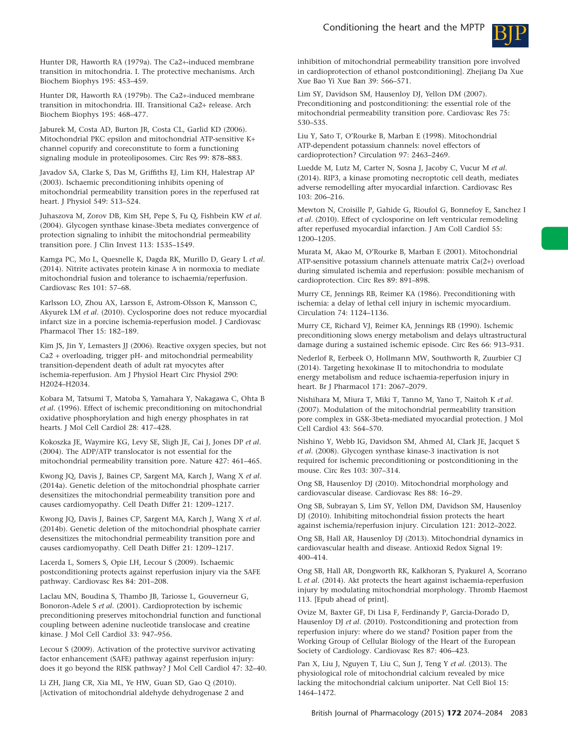

Hunter DR, Haworth RA (1979a). The Ca2+-induced membrane transition in mitochondria. I. The protective mechanisms. Arch Biochem Biophys 195: 453–459.

Hunter DR, Haworth RA (1979b). The Ca2+-induced membrane transition in mitochondria. III. Transitional Ca2+ release. Arch Biochem Biophys 195: 468–477.

Jaburek M, Costa AD, Burton JR, Costa CL, Garlid KD (2006). Mitochondrial PKC epsilon and mitochondrial ATP-sensitive K+ channel copurify and coreconstitute to form a functioning signaling module in proteoliposomes. Circ Res 99: 878–883.

Javadov SA, Clarke S, Das M, Griffiths EJ, Lim KH, Halestrap AP (2003). Ischaemic preconditioning inhibits opening of mitochondrial permeability transition pores in the reperfused rat heart. J Physiol 549: 513–524.

Juhaszova M, Zorov DB, Kim SH, Pepe S, Fu Q, Fishbein KW *et al*. (2004). Glycogen synthase kinase-3beta mediates convergence of protection signaling to inhibit the mitochondrial permeability transition pore. J Clin Invest 113: 1535–1549.

Kamga PC, Mo L, Quesnelle K, Dagda RK, Murillo D, Geary L *et al*. (2014). Nitrite activates protein kinase A in normoxia to mediate mitochondrial fusion and tolerance to ischaemia/reperfusion. Cardiovasc Res 101: 57–68.

Karlsson LO, Zhou AX, Larsson E, Astrom-Olsson K, Mansson C, Akyurek LM *et al*. (2010). Cyclosporine does not reduce myocardial infarct size in a porcine ischemia-reperfusion model. J Cardiovasc Pharmacol Ther 15: 182–189.

Kim JS, Jin Y, Lemasters JJ (2006). Reactive oxygen species, but not Ca2 + overloading, trigger pH- and mitochondrial permeability transition-dependent death of adult rat myocytes after ischemia-reperfusion. Am J Physiol Heart Circ Physiol 290: H2024–H2034.

Kobara M, Tatsumi T, Matoba S, Yamahara Y, Nakagawa C, Ohta B *et al*. (1996). Effect of ischemic preconditioning on mitochondrial oxidative phosphorylation and high energy phosphates in rat hearts. J Mol Cell Cardiol 28: 417–428.

Kokoszka JE, Waymire KG, Levy SE, Sligh JE, Cai J, Jones DP *et al*. (2004). The ADP/ATP translocator is not essential for the mitochondrial permeability transition pore. Nature 427: 461–465.

Kwong JQ, Davis J, Baines CP, Sargent MA, Karch J, Wang X *et al*. (2014a). Genetic deletion of the mitochondrial phosphate carrier desensitizes the mitochondrial permeability transition pore and causes cardiomyopathy. Cell Death Differ 21: 1209–1217.

Kwong JQ, Davis J, Baines CP, Sargent MA, Karch J, Wang X *et al*. (2014b). Genetic deletion of the mitochondrial phosphate carrier desensitizes the mitochondrial permeability transition pore and causes cardiomyopathy. Cell Death Differ 21: 1209–1217.

Lacerda L, Somers S, Opie LH, Lecour S (2009). Ischaemic postconditioning protects against reperfusion injury via the SAFE pathway. Cardiovasc Res 84: 201–208.

Laclau MN, Boudina S, Thambo JB, Tariosse L, Gouverneur G, Bonoron-Adele S *et al*. (2001). Cardioprotection by ischemic preconditioning preserves mitochondrial function and functional coupling between adenine nucleotide translocase and creatine kinase. J Mol Cell Cardiol 33: 947–956.

Lecour S (2009). Activation of the protective survivor activating factor enhancement (SAFE) pathway against reperfusion injury: does it go beyond the RISK pathway? J Mol Cell Cardiol 47: 32–40.

Li ZH, Jiang CR, Xia ML, Ye HW, Guan SD, Gao Q (2010). [Activation of mitochondrial aldehyde dehydrogenase 2 and inhibition of mitochondrial permeability transition pore involved in cardioprotection of ethanol postconditioning]. Zhejiang Da Xue Xue Bao Yi Xue Ban 39: 566–571.

Lim SY, Davidson SM, Hausenloy DJ, Yellon DM (2007). Preconditioning and postconditioning: the essential role of the mitochondrial permeability transition pore. Cardiovasc Res 75: 530–535.

Liu Y, Sato T, O'Rourke B, Marban E (1998). Mitochondrial ATP-dependent potassium channels: novel effectors of cardioprotection? Circulation 97: 2463–2469.

Luedde M, Lutz M, Carter N, Sosna J, Jacoby C, Vucur M *et al*. (2014). RIP3, a kinase promoting necroptotic cell death, mediates adverse remodelling after myocardial infarction. Cardiovasc Res 103: 206–216.

Mewton N, Croisille P, Gahide G, Rioufol G, Bonnefoy E, Sanchez I *et al*. (2010). Effect of cyclosporine on left ventricular remodeling after reperfused myocardial infarction. J Am Coll Cardiol 55: 1200–1205.

Murata M, Akao M, O'Rourke B, Marban E (2001). Mitochondrial ATP-sensitive potassium channels attenuate matrix Ca(2+) overload during simulated ischemia and reperfusion: possible mechanism of cardioprotection. Circ Res 89: 891–898.

Murry CE, Jennings RB, Reimer KA (1986). Preconditioning with ischemia: a delay of lethal cell injury in ischemic myocardium. Circulation 74: 1124–1136.

Murry CE, Richard VJ, Reimer KA, Jennings RB (1990). Ischemic preconditioning slows energy metabolism and delays ultrastructural damage during a sustained ischemic episode. Circ Res 66: 913–931.

Nederlof R, Eerbeek O, Hollmann MW, Southworth R, Zuurbier CJ (2014). Targeting hexokinase II to mitochondria to modulate energy metabolism and reduce ischaemia-reperfusion injury in heart. Br J Pharmacol 171: 2067–2079.

Nishihara M, Miura T, Miki T, Tanno M, Yano T, Naitoh K *et al*. (2007). Modulation of the mitochondrial permeability transition pore complex in GSK-3beta-mediated myocardial protection. J Mol Cell Cardiol 43: 564–570.

Nishino Y, Webb IG, Davidson SM, Ahmed AI, Clark JE, Jacquet S *et al*. (2008). Glycogen synthase kinase-3 inactivation is not required for ischemic preconditioning or postconditioning in the mouse. Circ Res 103: 307–314.

Ong SB, Hausenloy DJ (2010). Mitochondrial morphology and cardiovascular disease. Cardiovasc Res 88: 16–29.

Ong SB, Subrayan S, Lim SY, Yellon DM, Davidson SM, Hausenloy DJ (2010). Inhibiting mitochondrial fission protects the heart against ischemia/reperfusion injury. Circulation 121: 2012–2022.

Ong SB, Hall AR, Hausenloy DJ (2013). Mitochondrial dynamics in cardiovascular health and disease. Antioxid Redox Signal 19: 400–414.

Ong SB, Hall AR, Dongworth RK, Kalkhoran S, Pyakurel A, Scorrano L *et al*. (2014). Akt protects the heart against ischaemia-reperfusion injury by modulating mitochondrial morphology. Thromb Haemost 113. [Epub ahead of print].

Ovize M, Baxter GF, Di Lisa F, Ferdinandy P, Garcia-Dorado D, Hausenloy DJ *et al*. (2010). Postconditioning and protection from reperfusion injury: where do we stand? Position paper from the Working Group of Cellular Biology of the Heart of the European Society of Cardiology. Cardiovasc Res 87: 406–423.

Pan X, Liu J, Nguyen T, Liu C, Sun J, Teng Y *et al*. (2013). The physiological role of mitochondrial calcium revealed by mice lacking the mitochondrial calcium uniporter. Nat Cell Biol 15: 1464–1472.